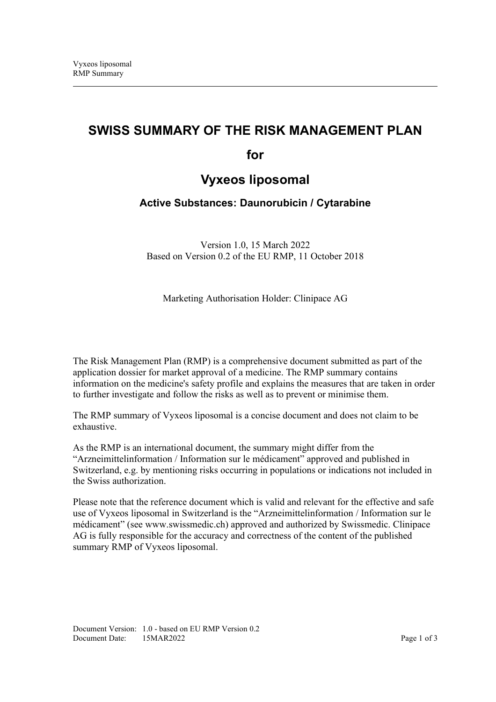# **SWISS SUMMARY OF THE RISK MANAGEMENT PLAN**

**for**

# **Vyxeos liposomal**

## **Active Substances: Daunorubicin / Cytarabine**

Version 1.0, 15 March 2022 Based on Version 0.2 of the EU RMP, 11 October 2018

Marketing Authorisation Holder: Clinipace AG

The Risk Management Plan (RMP) is a comprehensive document submitted as part of the application dossier for market approval of a medicine. The RMP summary contains information on the medicine's safety profile and explains the measures that are taken in order to further investigate and follow the risks as well as to prevent or minimise them.

The RMP summary of Vyxeos liposomal is a concise document and does not claim to be exhaustive.

As the RMP is an international document, the summary might differ from the "Arzneimittelinformation / Information sur le médicament" approved and published in Switzerland, e.g. by mentioning risks occurring in populations or indications not included in the Swiss authorization.

Please note that the reference document which is valid and relevant for the effective and safe use of Vyxeos liposomal in Switzerland is the "Arzneimittelinformation / Information sur le médicament" (see www.swissmedic.ch) approved and authorized by Swissmedic. Clinipace AG is fully responsible for the accuracy and correctness of the content of the published summary RMP of Vyxeos liposomal.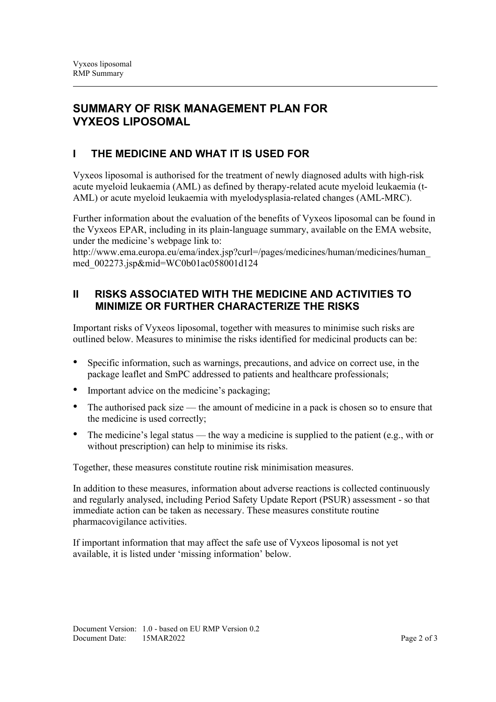## **SUMMARY OF RISK MANAGEMENT PLAN FOR VYXEOS LIPOSOMAL**

## **I THE MEDICINE AND WHAT IT IS USED FOR**

Vyxeos liposomal is authorised for the treatment of newly diagnosed adults with high-risk acute myeloid leukaemia (AML) as defined by therapy-related acute myeloid leukaemia (t-AML) or acute myeloid leukaemia with myelodysplasia-related changes (AML-MRC).

Further information about the evaluation of the benefits of Vyxeos liposomal can be found in the Vyxeos EPAR, including in its plain-language summary, available on the EMA website, under the medicine's webpage link to:

http://www.ema.europa.eu/ema/index.jsp?curl=/pages/medicines/human/medicines/human\_ med\_002273.jsp&mid=WC0b01ac058001d124

### **II RISKS ASSOCIATED WITH THE MEDICINE AND ACTIVITIES TO MINIMIZE OR FURTHER CHARACTERIZE THE RISKS**

Important risks of Vyxeos liposomal, together with measures to minimise such risks are outlined below. Measures to minimise the risks identified for medicinal products can be:

- Specific information, such as warnings, precautions, and advice on correct use, in the package leaflet and SmPC addressed to patients and healthcare professionals;
- Important advice on the medicine's packaging;
- The authorised pack size the amount of medicine in a pack is chosen so to ensure that the medicine is used correctly;
- The medicine's legal status the way a medicine is supplied to the patient (e.g., with or without prescription) can help to minimise its risks.

Together, these measures constitute routine risk minimisation measures.

In addition to these measures, information about adverse reactions is collected continuously and regularly analysed, including Period Safety Update Report (PSUR) assessment - so that immediate action can be taken as necessary. These measures constitute routine pharmacovigilance activities.

If important information that may affect the safe use of Vyxeos liposomal is not yet available, it is listed under 'missing information' below.